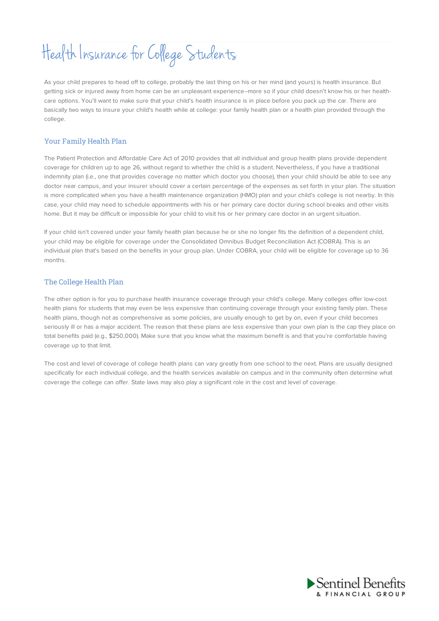## Health Insurance for College Students

As your child prepares to head off to college, probably the last thing on his or her mind (and yours) is health insurance. But getting sick or injured away from home can be an unpleasant experience--more so if your child doesn't know his or her healthcare options. You'll want to make sure that your child's health insurance is in place before you pack up the car. There are basically two ways to insure your child's health while at college: your family health plan or a health plan provided through the college.

## Your Family Health Plan

The Patient Protection and Affordable Care Act of 2010 provides that all individual and group health plans provide dependent coverage for children up to age 26, without regard to whether the child is a student. Nevertheless, if you have a traditional indemnity plan (i.e., one that provides coverage no matter which doctor you choose), then your child should be able to see any doctor near campus, and your insurer should cover a certain percentage of the expenses as set forth in your plan. The situation is more complicated when you have a health maintenance organization (HMO) plan and your child's college is not nearby. In this case, your child may need to schedule appointments with his or her primary care doctor during school breaks and other visits home. But it may be difficult or impossible for your child to visit his or her primary care doctor in an urgent situation.

If your child isn't covered under your family health plan because he or she no longer fits the definition of a dependent child, your child may be eligible for coverage under the Consolidated Omnibus Budget Reconciliation Act (COBRA). This is an individual plan that's based on the benefits in your group plan. Under COBRA, your child will be eligible for coverage up to 36 months.

## The College Health Plan

The other option is for you to purchase health insurance coverage through your child's college. Many colleges offer low-cost health plans for students that may even be less expensive than continuing coverage through your existing family plan. These health plans, though not as comprehensive as some policies, are usually enough to get by on, even if your child becomes seriously ill or has a major accident. The reason that these plans are less expensive than your own plan is the cap they place on total benefits paid (e.g., \$250,000). Make sure that you know what the maximum benefit is and that you're comfortable having coverage up to that limit.

The cost and level of coverage of college health plans can vary greatly from one school to the next. Plans are usually designed specifically for each individual college, and the health services available on campus and in the community often determine what coverage the college can offer. State laws may also play a significant role in the cost and level of coverage.